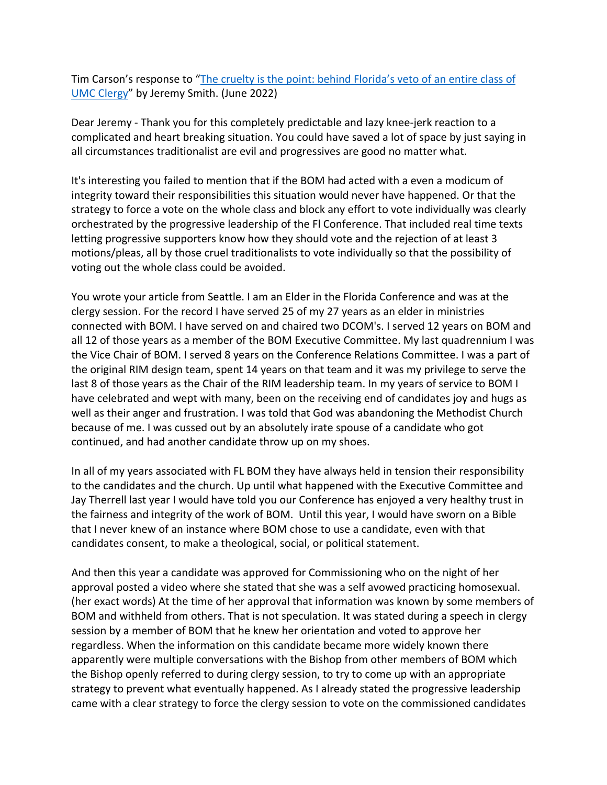Tim Carson's response to "The cruelty is the point: behind Florida's veto of an entire class of UMC Clergy" by Jeremy Smith. (June 2022)

Dear Jeremy - Thank you for this completely predictable and lazy knee-jerk reaction to a complicated and heart breaking situation. You could have saved a lot of space by just saying in all circumstances traditionalist are evil and progressives are good no matter what.

It's interesting you failed to mention that if the BOM had acted with a even a modicum of integrity toward their responsibilities this situation would never have happened. Or that the strategy to force a vote on the whole class and block any effort to vote individually was clearly orchestrated by the progressive leadership of the Fl Conference. That included real time texts letting progressive supporters know how they should vote and the rejection of at least 3 motions/pleas, all by those cruel traditionalists to vote individually so that the possibility of voting out the whole class could be avoided.

You wrote your article from Seattle. I am an Elder in the Florida Conference and was at the clergy session. For the record I have served 25 of my 27 years as an elder in ministries connected with BOM. I have served on and chaired two DCOM's. I served 12 years on BOM and all 12 of those years as a member of the BOM Executive Committee. My last quadrennium I was the Vice Chair of BOM. I served 8 years on the Conference Relations Committee. I was a part of the original RIM design team, spent 14 years on that team and it was my privilege to serve the last 8 of those years as the Chair of the RIM leadership team. In my years of service to BOM I have celebrated and wept with many, been on the receiving end of candidates joy and hugs as well as their anger and frustration. I was told that God was abandoning the Methodist Church because of me. I was cussed out by an absolutely irate spouse of a candidate who got continued, and had another candidate throw up on my shoes.

In all of my years associated with FL BOM they have always held in tension their responsibility to the candidates and the church. Up until what happened with the Executive Committee and Jay Therrell last year I would have told you our Conference has enjoyed a very healthy trust in the fairness and integrity of the work of BOM. Until this year, I would have sworn on a Bible that I never knew of an instance where BOM chose to use a candidate, even with that candidates consent, to make a theological, social, or political statement.

And then this year a candidate was approved for Commissioning who on the night of her approval posted a video where she stated that she was a self avowed practicing homosexual. (her exact words) At the time of her approval that information was known by some members of BOM and withheld from others. That is not speculation. It was stated during a speech in clergy session by a member of BOM that he knew her orientation and voted to approve her regardless. When the information on this candidate became more widely known there apparently were multiple conversations with the Bishop from other members of BOM which the Bishop openly referred to during clergy session, to try to come up with an appropriate strategy to prevent what eventually happened. As I already stated the progressive leadership came with a clear strategy to force the clergy session to vote on the commissioned candidates